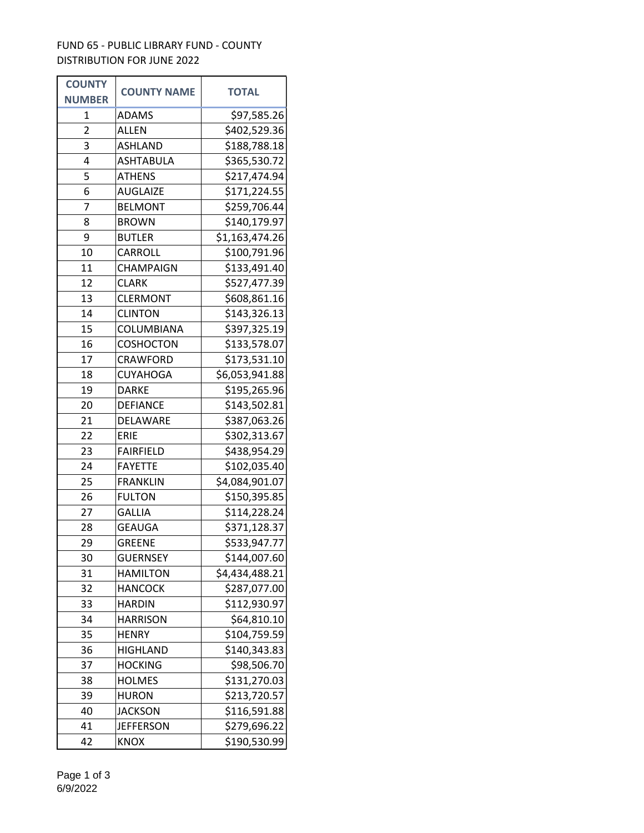## FUND 65 - PUBLIC LIBRARY FUND - COUNTY DISTRIBUTION FOR JUNE 2022

| <b>COUNTY</b> | <b>COUNTY NAME</b> | <b>TOTAL</b>   |
|---------------|--------------------|----------------|
| <b>NUMBER</b> |                    |                |
| 1             | <b>ADAMS</b>       | \$97,585.26    |
| 2             | <b>ALLEN</b>       | \$402,529.36   |
| 3             | <b>ASHLAND</b>     | \$188,788.18   |
| 4             | ASHTABULA          | \$365,530.72   |
| 5             | <b>ATHENS</b>      | \$217,474.94   |
| 6             | <b>AUGLAIZE</b>    | \$171,224.55   |
| 7             | <b>BELMONT</b>     | \$259,706.44   |
| 8             | <b>BROWN</b>       | \$140,179.97   |
| 9             | <b>BUTLER</b>      | \$1,163,474.26 |
| 10            | CARROLL            | \$100,791.96   |
| 11            | <b>CHAMPAIGN</b>   | \$133,491.40   |
| 12            | <b>CLARK</b>       | \$527,477.39   |
| 13            | <b>CLERMONT</b>    | \$608,861.16   |
| 14            | <b>CLINTON</b>     | \$143,326.13   |
| 15            | COLUMBIANA         | \$397,325.19   |
| 16            | <b>COSHOCTON</b>   | \$133,578.07   |
| 17            | <b>CRAWFORD</b>    | \$173,531.10   |
| 18            | CUYAHOGA           | \$6,053,941.88 |
| 19            | <b>DARKE</b>       | \$195,265.96   |
| 20            | <b>DEFIANCE</b>    | \$143,502.81   |
| 21            | DELAWARE           | \$387,063.26   |
| 22            | <b>ERIE</b>        | \$302,313.67   |
| 23            | <b>FAIRFIELD</b>   | \$438,954.29   |
| 24            | <b>FAYETTE</b>     | \$102,035.40   |
| 25            | <b>FRANKLIN</b>    | \$4,084,901.07 |
| 26            | <b>FULTON</b>      | \$150,395.85   |
| 27            | <b>GALLIA</b>      | \$114,228.24   |
| 28            | <b>GEAUGA</b>      | \$371,128.37   |
| 29            | <b>GREENE</b>      | \$533,947.77   |
| 30            | <b>GUERNSEY</b>    | \$144,007.60   |
| 31            | <b>HAMILTON</b>    | \$4,434,488.21 |
| 32            | HANCOCK            | \$287,077.00   |
| 33            | <b>HARDIN</b>      | \$112,930.97   |
| 34            | HARRISON           | \$64,810.10    |
| 35            | <b>HENRY</b>       | \$104,759.59   |
| 36            | <b>HIGHLAND</b>    | \$140,343.83   |
| 37            | <b>HOCKING</b>     | \$98,506.70    |
| 38            | <b>HOLMES</b>      | \$131,270.03   |
| 39            | <b>HURON</b>       | \$213,720.57   |
| 40            | JACKSON            | \$116,591.88   |
| 41            | <b>JEFFERSON</b>   | \$279,696.22   |
| 42            | <b>KNOX</b>        | \$190,530.99   |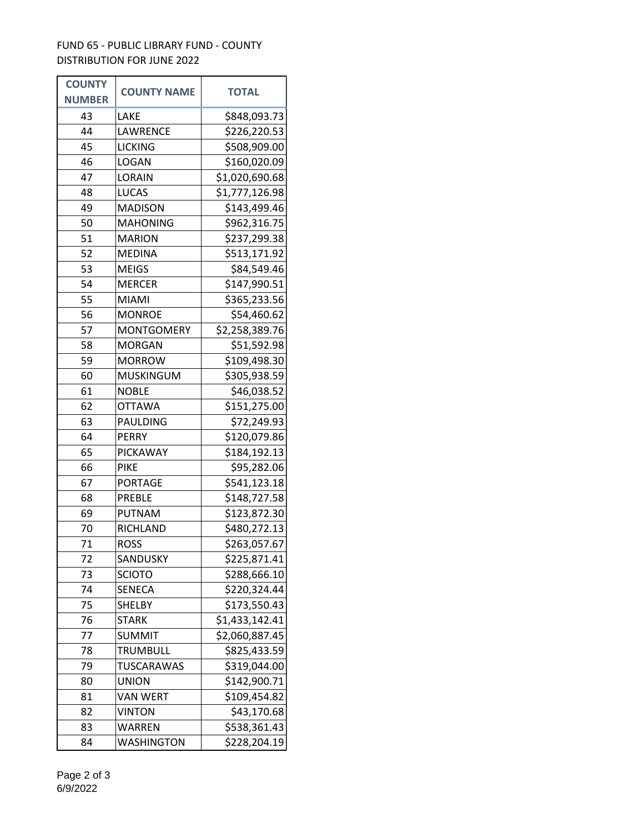## FUND 65 - PUBLIC LIBRARY FUND - COUNTY DISTRIBUTION FOR JUNE 2022

| <b>COUNTY</b> | <b>COUNTY NAME</b> | <b>TOTAL</b>   |
|---------------|--------------------|----------------|
| <b>NUMBER</b> |                    |                |
| 43            | LAKE               | \$848,093.73   |
| 44            | LAWRENCE           | \$226,220.53   |
| 45            | <b>LICKING</b>     | \$508,909.00   |
| 46            | LOGAN              | \$160,020.09   |
| 47            | LORAIN             | \$1,020,690.68 |
| 48            | <b>LUCAS</b>       | \$1,777,126.98 |
| 49            | <b>MADISON</b>     | \$143,499.46   |
| 50            | <b>MAHONING</b>    | \$962,316.75   |
| 51            | <b>MARION</b>      | \$237,299.38   |
| 52            | <b>MEDINA</b>      | \$513,171.92   |
| 53            | <b>MEIGS</b>       | \$84,549.46    |
| 54            | <b>MERCER</b>      | \$147,990.51   |
| 55            | <b>MIAMI</b>       | \$365,233.56   |
| 56            | <b>MONROE</b>      | \$54,460.62    |
| 57            | <b>MONTGOMERY</b>  | \$2,258,389.76 |
| 58            | <b>MORGAN</b>      | \$51,592.98    |
| 59            | <b>MORROW</b>      | \$109,498.30   |
| 60            | <b>MUSKINGUM</b>   | \$305,938.59   |
| 61            | <b>NOBLE</b>       | \$46,038.52    |
| 62            | <b>OTTAWA</b>      | \$151,275.00   |
| 63            | PAULDING           | \$72,249.93    |
| 64            | <b>PERRY</b>       | \$120,079.86   |
| 65            | <b>PICKAWAY</b>    | \$184,192.13   |
| 66            | <b>PIKE</b>        | \$95,282.06    |
| 67            | <b>PORTAGE</b>     | \$541,123.18   |
| 68            | <b>PREBLE</b>      | \$148,727.58   |
| 69            | <b>PUTNAM</b>      | \$123,872.30   |
| 70            | RICHLAND           | \$480,272.13   |
| 71            | <b>ROSS</b>        | \$263,057.67   |
| 72            | SANDUSKY           | \$225,871.41   |
| 73            | <b>SCIOTO</b>      | \$288,666.10   |
| 74            | <b>SENECA</b>      | \$220,324.44   |
| 75            | <b>SHELBY</b>      | \$173,550.43   |
| 76            | <b>STARK</b>       | \$1,433,142.41 |
| 77            | SUMMIT             | \$2,060,887.45 |
| 78            | <b>TRUMBULL</b>    | \$825,433.59   |
| 79            | <b>TUSCARAWAS</b>  | \$319,044.00   |
| 80            | <b>UNION</b>       | \$142,900.71   |
| 81            | <b>VAN WERT</b>    | \$109,454.82   |
| 82            | VINTON             | \$43,170.68    |
| 83            | WARREN             | \$538,361.43   |
| 84            | <b>WASHINGTON</b>  | \$228,204.19   |